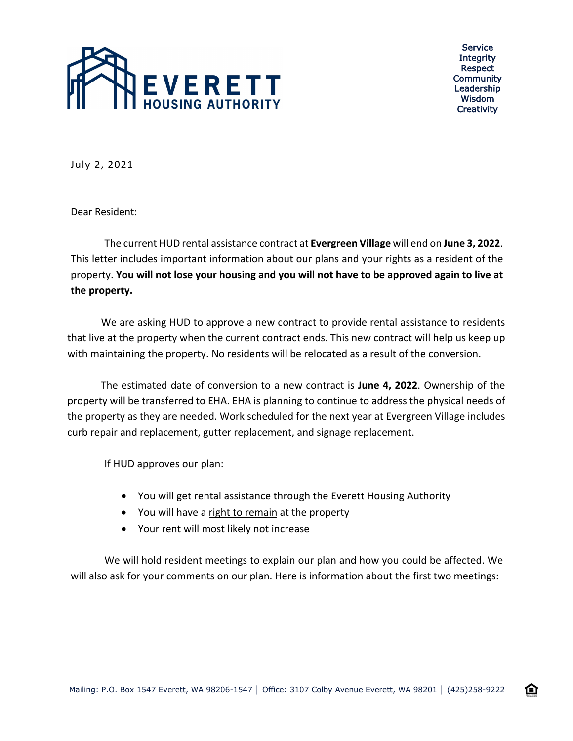

Service **Integrity** Respect Community Leadership Wisdom **Creativity** 

企

July 2, 2021

Dear Resident:

The current HUD rental assistance contract at **Evergreen Village** will end on **June 3, 2022**. This letter includes important information about our plans and your rights as a resident of the property. **You will not lose your housing and you will not have to be approved again to live at the property.**

We are asking HUD to approve a new contract to provide rental assistance to residents that live at the property when the current contract ends. This new contract will help us keep up with maintaining the property. No residents will be relocated as a result of the conversion.

The estimated date of conversion to a new contract is **June 4, 2022**. Ownership of the property will be transferred to EHA. EHA is planning to continue to address the physical needs of the property as they are needed. Work scheduled for the next year at Evergreen Village includes curb repair and replacement, gutter replacement, and signage replacement.

If HUD approves our plan:

- You will get rental assistance through the Everett Housing Authority
- You will have a right to remain at the property
- Your rent will most likely not increase

We will hold resident meetings to explain our plan and how you could be affected. We will also ask for your comments on our plan. Here is information about the first two meetings: